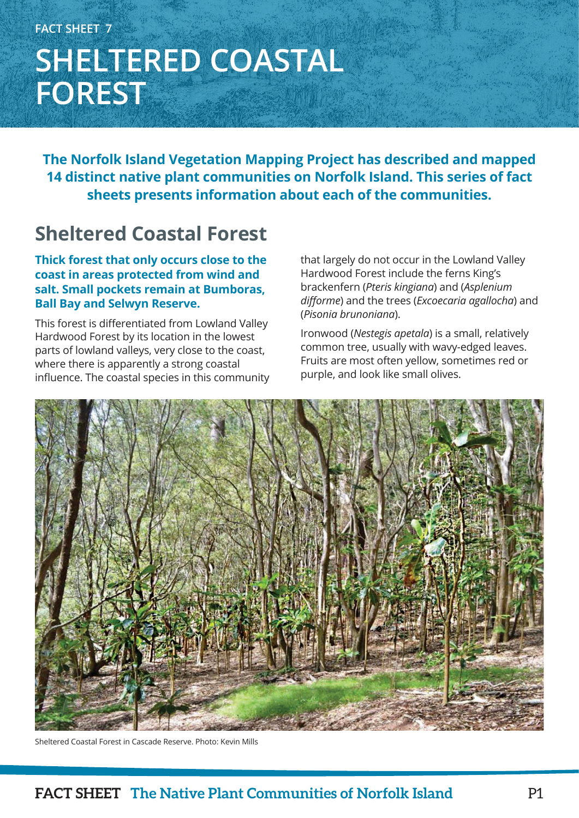# **FACT SHEET 7 SHELTERED COASTAL FOREST**

**The Norfolk Island Vegetation Mapping Project has described and mapped 14 distinct native plant communities on Norfolk Island. This series of fact sheets presents information about each of the communities.**

## **Sheltered Coastal Forest**

**Thick forest that only occurs close to the coast in areas protected from wind and salt. Small pockets remain at Bumboras, Ball Bay and Selwyn Reserve.**

This forest is differentiated from Lowland Valley Hardwood Forest by its location in the lowest parts of lowland valleys, very close to the coast, where there is apparently a strong coastal influence. The coastal species in this community that largely do not occur in the Lowland Valley Hardwood Forest include the ferns King's brackenfern (*Pteris kingiana*) and (*Asplenium difforme*) and the trees (*Excoecaria agallocha*) and (*Pisonia brunoniana*).

Ironwood (*Nestegis apetala*) is a small, relatively common tree, usually with wavy-edged leaves. Fruits are most often yellow, sometimes red or purple, and look like small olives.



Sheltered Coastal Forest in Cascade Reserve. Photo: Kevin Mills